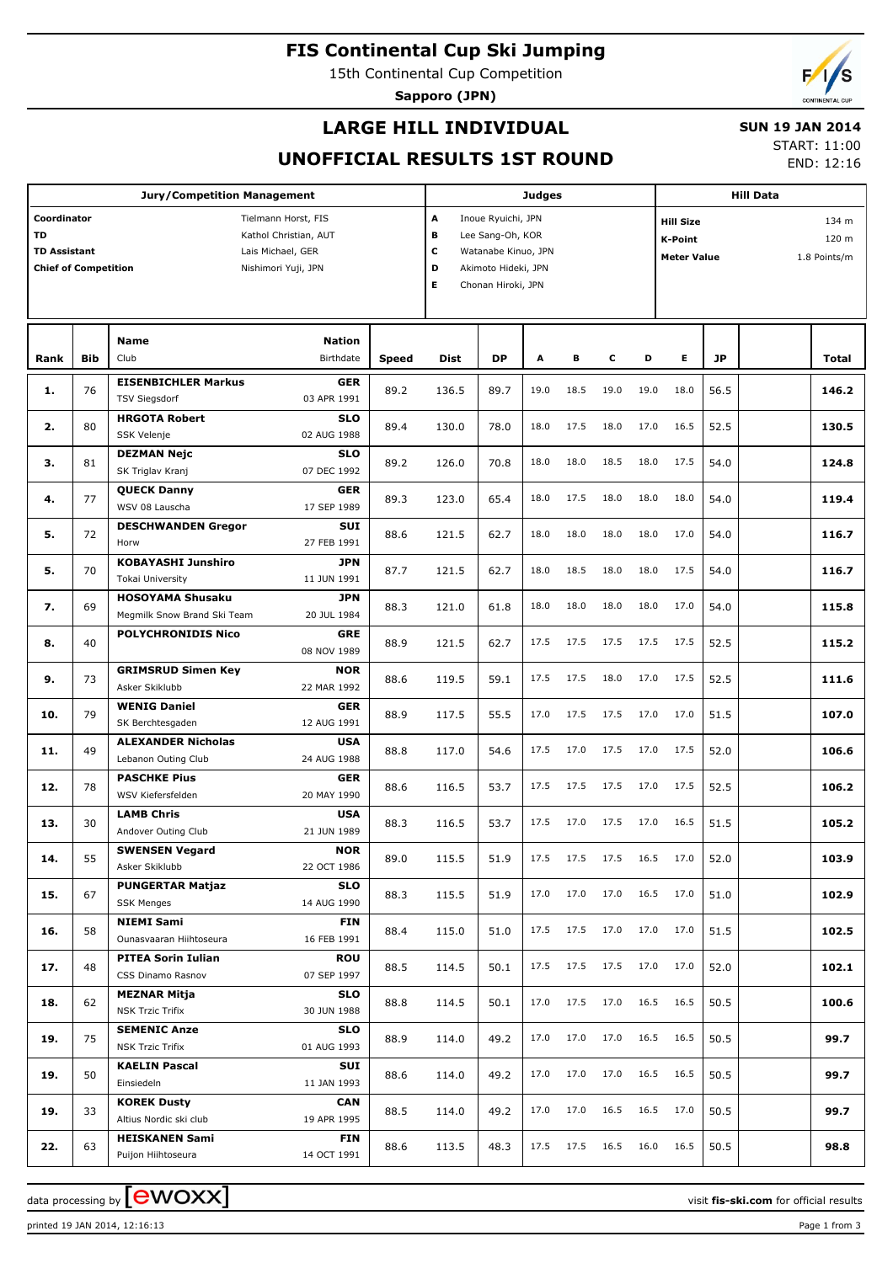# **FIS Continental Cup Ski Jumping**

15th Continental Cup Competition

**Sapporo (JPN)**



## **LARGE HILL INDIVIDUAL**

## **SUN 19 JAN 2014**

## **UNOFFICIAL RESULTS 1ST ROUND**

START: 11:00

END: 12:16

| <b>Jury/Competition Management</b>                                             |            |                                                                                          |                                          |                                                                                                                                                                                          |       | <b>Judges</b> |      |           |      |      |      | <b>Hill Data</b>               |  |       |  |  |
|--------------------------------------------------------------------------------|------------|------------------------------------------------------------------------------------------|------------------------------------------|------------------------------------------------------------------------------------------------------------------------------------------------------------------------------------------|-------|---------------|------|-----------|------|------|------|--------------------------------|--|-------|--|--|
| Coordinator<br><b>TD</b><br><b>TD Assistant</b><br><b>Chief of Competition</b> |            | Tielmann Horst, FIS<br>Kathol Christian, AUT<br>Lais Michael, GER<br>Nishimori Yuji, JPN |                                          | A<br>Inoue Ryuichi, JPN<br><b>Hill Size</b><br>в<br>Lee Sang-Oh, KOR<br>K-Point<br>С<br>Watanabe Kinuo, JPN<br><b>Meter Value</b><br>D<br>Akimoto Hideki, JPN<br>Е<br>Chonan Hiroki, JPN |       |               |      |           |      |      |      | 134 m<br>120 m<br>1.8 Points/m |  |       |  |  |
|                                                                                |            | <b>Name</b>                                                                              | <b>Nation</b>                            |                                                                                                                                                                                          |       |               |      |           |      |      |      |                                |  |       |  |  |
| Rank                                                                           | <b>Bib</b> | Club                                                                                     | Birthdate                                | Speed                                                                                                                                                                                    | Dist  | <b>DP</b>     | A    | в         | c    | D    | Е    | JP                             |  | Total |  |  |
| 1.                                                                             | 76         | <b>EISENBICHLER Markus</b><br><b>TSV Siegsdorf</b>                                       | <b>GER</b><br>03 APR 1991                | 89.2                                                                                                                                                                                     | 136.5 | 89.7          | 19.0 | 18.5      | 19.0 | 19.0 | 18.0 | 56.5                           |  | 146.2 |  |  |
| 2.                                                                             | 80         | <b>HRGOTA Robert</b><br>SSK Velenje                                                      | <b>SLO</b><br>02 AUG 1988                | 89.4                                                                                                                                                                                     | 130.0 | 78.0          | 18.0 | 17.5      | 18.0 | 17.0 | 16.5 | 52.5                           |  | 130.5 |  |  |
| з.                                                                             | 81         | <b>DEZMAN Nejc</b><br>SK Triglav Kranj                                                   | <b>SLO</b><br>07 DEC 1992                | 89.2                                                                                                                                                                                     | 126.0 | 70.8          | 18.0 | 18.0      | 18.5 | 18.0 | 17.5 | 54.0                           |  | 124.8 |  |  |
| 4.                                                                             | 77         | <b>QUECK Danny</b><br>WSV 08 Lauscha                                                     | <b>GER</b><br>17 SEP 1989                | 89.3                                                                                                                                                                                     | 123.0 | 65.4          | 18.0 | 17.5      | 18.0 | 18.0 | 18.0 | 54.0                           |  | 119.4 |  |  |
| 5.                                                                             | 72         | <b>DESCHWANDEN Gregor</b><br>Horw                                                        | SUI<br>27 FEB 1991                       | 88.6                                                                                                                                                                                     | 121.5 | 62.7          | 18.0 | 18.0      | 18.0 | 18.0 | 17.0 | 54.0                           |  | 116.7 |  |  |
| 5.                                                                             | 70         | <b>KOBAYASHI Junshiro</b><br>Tokai University                                            | <b>JPN</b><br>11 JUN 1991                | 87.7                                                                                                                                                                                     | 121.5 | 62.7          | 18.0 | 18.5      | 18.0 | 18.0 | 17.5 | 54.0                           |  | 116.7 |  |  |
| 7.                                                                             | 69         | <b>HOSOYAMA Shusaku</b><br>Megmilk Snow Brand Ski Team                                   | <b>JPN</b><br>20 JUL 1984                | 88.3                                                                                                                                                                                     | 121.0 | 61.8          | 18.0 | 18.0      | 18.0 | 18.0 | 17.0 | 54.0                           |  | 115.8 |  |  |
| 8.                                                                             | 40         | <b>POLYCHRONIDIS Nico</b>                                                                | <b>GRE</b><br>08 NOV 1989                | 88.9                                                                                                                                                                                     | 121.5 | 62.7          | 17.5 | 17.5      | 17.5 | 17.5 | 17.5 | 52.5                           |  | 115.2 |  |  |
| 9.                                                                             | 73         | <b>GRIMSRUD Simen Key</b><br>Asker Skiklubb                                              | <b>NOR</b><br>22 MAR 1992                | 88.6                                                                                                                                                                                     | 119.5 | 59.1          | 17.5 | 17.5      | 18.0 | 17.0 | 17.5 | 52.5                           |  | 111.6 |  |  |
| 10.                                                                            | 79         | <b>WENIG Daniel</b><br>SK Berchtesgaden                                                  | <b>GER</b><br>12 AUG 1991                | 88.9                                                                                                                                                                                     | 117.5 | 55.5          | 17.0 | 17.5      | 17.5 | 17.0 | 17.0 | 51.5                           |  | 107.0 |  |  |
| 11.                                                                            | 49         | <b>ALEXANDER Nicholas</b><br>Lebanon Outing Club                                         | <b>USA</b><br>24 AUG 1988                | 88.8                                                                                                                                                                                     | 117.0 | 54.6          | 17.5 | 17.0      | 17.5 | 17.0 | 17.5 | 52.0                           |  | 106.6 |  |  |
| 12.                                                                            | 78         | <b>PASCHKE Pius</b><br>WSV Kiefersfelden                                                 | <b>GER</b><br>20 MAY 1990                | 88.6                                                                                                                                                                                     | 116.5 | 53.7          | 17.5 | 17.5      | 17.5 | 17.0 | 17.5 | 52.5                           |  | 106.2 |  |  |
| 13.                                                                            | 30         | <b>LAMB Chris</b><br>Andover Outing Club                                                 | <b>USA</b><br>21 JUN 1989                | 88.3                                                                                                                                                                                     | 116.5 | 53.7          | 17.5 | 17.0      | 17.5 | 17.0 | 16.5 | 51.5                           |  | 105.2 |  |  |
| 14.                                                                            | 55         | <b>SWENSEN Vegard</b><br>Asker Skiklubb                                                  | <b>NOR</b><br>22 OCT 1986                | 89.0                                                                                                                                                                                     | 115.5 | 51.9          | 17.5 | 17.5      | 17.5 | 16.5 | 17.0 | 52.0                           |  | 103.9 |  |  |
| 15.                                                                            | 67         | <b>PUNGERTAR Matjaz</b><br><b>SSK Menges</b>                                             | <b>SLO</b><br>14 AUG 1990                | 88.3                                                                                                                                                                                     | 115.5 | 51.9          | 17.0 | 17.0      | 17.0 | 16.5 | 17.0 | 51.0                           |  | 102.9 |  |  |
| 16.                                                                            | 58         | <b>NIEMI Sami</b><br>Ounasvaaran Hiihtoseura                                             | <b>FIN</b><br>16 FEB 1991                | 88.4                                                                                                                                                                                     | 115.0 | 51.0          | 17.5 | 17.5      | 17.0 | 17.0 | 17.0 | 51.5                           |  | 102.5 |  |  |
| 17.                                                                            | 48         | <b>PITEA Sorin Iulian</b><br>CSS Dinamo Rasnov                                           | <b>ROU</b><br>07 SEP 1997                | 88.5                                                                                                                                                                                     | 114.5 | 50.1          | 17.5 | 17.5      | 17.5 | 17.0 | 17.0 | 52.0                           |  | 102.1 |  |  |
| 18.                                                                            | 62         | <b>MEZNAR Mitja</b><br>NSK Trzic Trifix                                                  | <b>SLO</b><br>30 JUN 1988                | 88.8                                                                                                                                                                                     | 114.5 | 50.1          | 17.0 | 17.5      | 17.0 | 16.5 | 16.5 | 50.5                           |  | 100.6 |  |  |
| 19.                                                                            | 75         | <b>SEMENIC Anze</b><br><b>NSK Trzic Trifix</b>                                           | <b>SLO</b><br>01 AUG 1993                | 88.9                                                                                                                                                                                     | 114.0 | 49.2          | 17.0 | 17.0      | 17.0 | 16.5 | 16.5 | 50.5                           |  | 99.7  |  |  |
| 19.                                                                            | 50         | <b>KAELIN Pascal</b><br>Einsiedeln                                                       | SUI<br>11 JAN 1993                       | 88.6                                                                                                                                                                                     | 114.0 | 49.2          | 17.0 | 17.0      | 17.0 | 16.5 | 16.5 | 50.5                           |  | 99.7  |  |  |
| 19.                                                                            | 33         | <b>KOREK Dusty</b>                                                                       | <b>CAN</b>                               | 88.5                                                                                                                                                                                     | 114.0 | 49.2          | 17.0 | 17.0      | 16.5 | 16.5 | 17.0 | 50.5                           |  | 99.7  |  |  |
| 22.                                                                            | 63         | Altius Nordic ski club<br><b>HEISKANEN Sami</b><br>Puijon Hiihtoseura                    | 19 APR 1995<br><b>FIN</b><br>14 OCT 1991 | 88.6                                                                                                                                                                                     | 113.5 | 48.3          |      | 17.5 17.5 | 16.5 | 16.0 | 16.5 | 50.5                           |  | 98.8  |  |  |

data processing by **CWOXX** The state of the state of the visit **fis-ski.com** for official results

printed 19 JAN 2014, 12:16:13 Page 1 from 3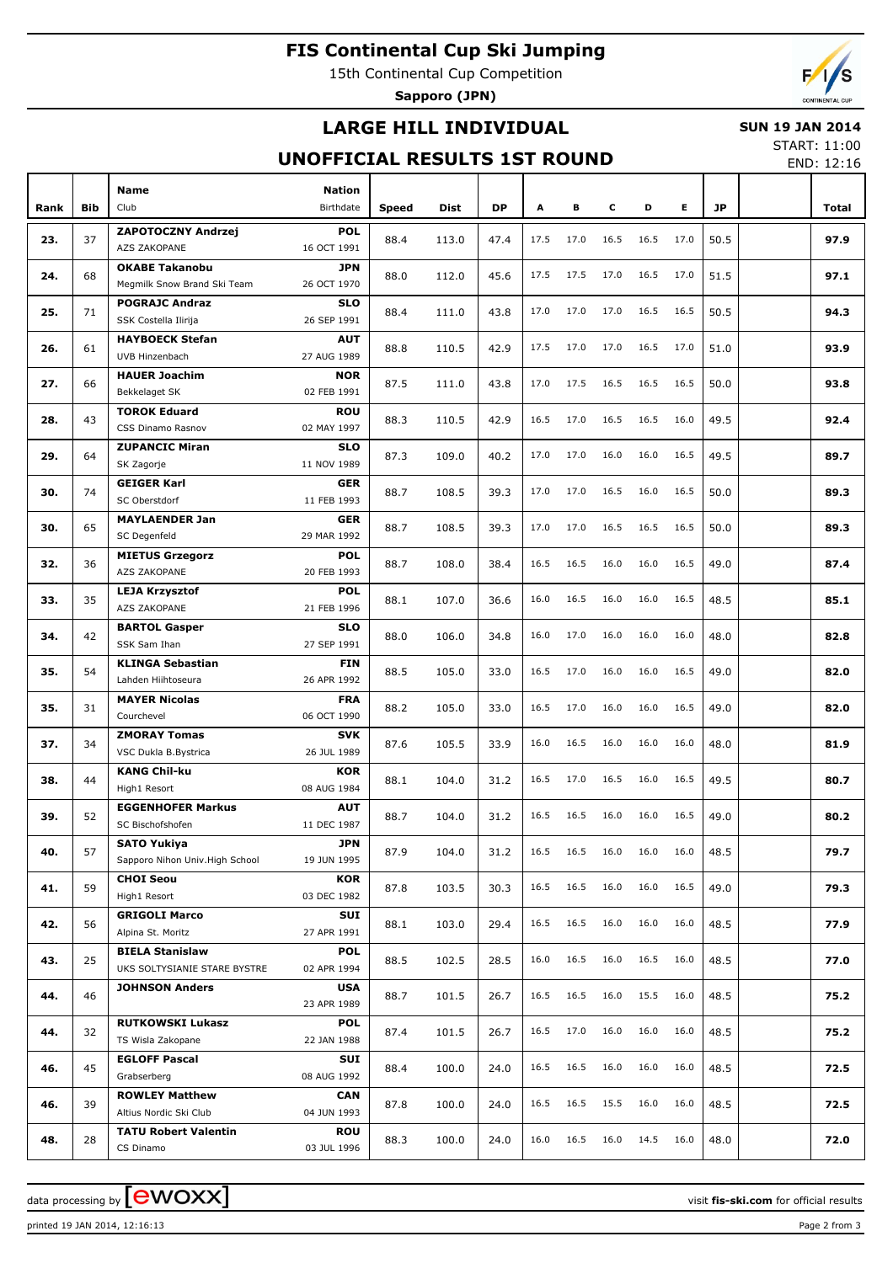# **FIS Continental Cup Ski Jumping**

15th Continental Cup Competition

**Sapporo (JPN)**

# **LARGE HILL INDIVIDUAL**

### **SUN 19 JAN 2014**

# **UNOFFICIAL RESULTS 1ST ROUND**

START: 11:00 END: 12:16

| Rank | <b>Bib</b> | <b>Name</b><br>Club                          | <b>Nation</b><br><b>Birthdate</b> | Speed | Dist           | <b>DP</b>    | A    | в    | c    | D    | E.   | <b>JP</b> | Total |
|------|------------|----------------------------------------------|-----------------------------------|-------|----------------|--------------|------|------|------|------|------|-----------|-------|
|      |            |                                              |                                   |       |                |              |      |      |      |      |      |           |       |
| 23.  | 37         | ZAPOTOCZNY Andrzej<br>AZS ZAKOPANE           | <b>POL</b><br>16 OCT 1991         | 88.4  | 113.0          | 47.4         | 17.5 | 17.0 | 16.5 | 16.5 | 17.0 | 50.5      | 97.9  |
|      |            | <b>OKABE Takanobu</b>                        | <b>JPN</b>                        |       |                |              |      |      |      |      |      |           |       |
| 24.  | 68         | Megmilk Snow Brand Ski Team                  | 26 OCT 1970                       | 88.0  | 112.0          | 45.6         | 17.5 | 17.5 | 17.0 | 16.5 | 17.0 | 51.5      | 97.1  |
| 25.  | 71         | <b>POGRAJC Andraz</b>                        | <b>SLO</b>                        | 88.4  | 111.0          | 43.8         | 17.0 | 17.0 | 17.0 | 16.5 | 16.5 | 50.5      | 94.3  |
|      |            | SSK Costella Ilirija                         | 26 SEP 1991                       |       |                |              |      |      |      |      |      |           |       |
| 26.  | 61         | <b>HAYBOECK Stefan</b>                       | <b>AUT</b>                        | 88.8  | 110.5          | 42.9         | 17.5 | 17.0 | 17.0 | 16.5 | 17.0 | 51.0      | 93.9  |
|      |            | UVB Hinzenbach                               | 27 AUG 1989                       |       |                |              |      |      |      |      |      |           |       |
| 27.  | 66         | <b>HAUER Joachim</b><br>Bekkelaget SK        | <b>NOR</b><br>02 FEB 1991         | 87.5  | 111.0          | 43.8         | 17.0 | 17.5 | 16.5 | 16.5 | 16.5 | 50.0      | 93.8  |
|      |            | <b>TOROK Eduard</b>                          | <b>ROU</b>                        |       |                |              |      |      |      |      |      |           |       |
| 28.  | 43         | CSS Dinamo Rasnov                            | 02 MAY 1997                       | 88.3  | 110.5          | 42.9         | 16.5 | 17.0 | 16.5 | 16.5 | 16.0 | 49.5      | 92.4  |
|      |            |                                              |                                   |       |                |              |      |      |      |      |      |           |       |
| 29.  | 64         | <b>ZUPANCIC Miran</b>                        | <b>SLO</b><br>11 NOV 1989         | 87.3  | 109.0          | 40.2         | 17.0 | 17.0 | 16.0 | 16.0 | 16.5 | 49.5      | 89.7  |
|      |            | SK Zagorje                                   |                                   |       |                |              |      |      |      |      |      |           |       |
| 30.  | 74         | <b>GEIGER Karl</b>                           | <b>GER</b>                        | 88.7  | 108.5          | 39.3         | 17.0 | 17.0 | 16.5 | 16.0 | 16.5 | 50.0      | 89.3  |
|      |            | SC Oberstdorf                                | 11 FEB 1993                       |       |                |              |      |      |      |      |      |           |       |
| 30.  | 65         | <b>MAYLAENDER Jan</b>                        | <b>GER</b>                        | 88.7  | 108.5          | 39.3<br>38.4 | 17.0 | 17.0 | 16.5 | 16.5 | 16.5 | 50.0      | 89.3  |
|      |            | SC Degenfeld                                 | 29 MAR 1992                       |       |                |              |      |      |      |      |      |           |       |
| 32.  | 36         | <b>MIETUS Grzegorz</b>                       | <b>POL</b>                        | 88.7  | 108.0          |              | 16.5 | 16.5 | 16.0 | 16.0 | 16.5 | 49.0      | 87.4  |
|      |            | AZS ZAKOPANE                                 | 20 FEB 1993                       |       |                |              |      |      |      |      |      |           |       |
| 33.  | 35         | <b>LEJA Krzysztof</b>                        | <b>POL</b>                        | 88.1  | 107.0          | 36.6         | 16.0 | 16.5 | 16.0 | 16.0 | 16.5 | 48.5      | 85.1  |
|      |            | AZS ZAKOPANE                                 | 21 FEB 1996                       |       |                |              |      |      |      |      |      |           |       |
| 34.  | 42         | <b>BARTOL Gasper</b>                         | <b>SLO</b>                        | 88.0  | 106.0          | 34.8         | 16.0 | 17.0 | 16.0 | 16.0 | 16.0 | 48.0      | 82.8  |
|      |            | SSK Sam Ihan                                 | 27 SEP 1991                       |       |                |              |      |      |      |      |      |           |       |
| 35.  | 54         | <b>KLINGA Sebastian</b>                      | <b>FIN</b>                        | 88.5  | 105.0          | 33.0         | 16.5 | 17.0 | 16.0 | 16.0 | 16.5 |           | 82.0  |
|      |            | Lahden Hiihtoseura                           | 26 APR 1992                       |       |                |              |      |      |      |      |      | 49.0      |       |
|      | 31<br>34   | <b>MAYER Nicolas</b>                         | <b>FRA</b>                        |       | 105.0<br>105.5 |              | 16.5 |      |      | 16.0 |      |           |       |
| 35.  |            | Courchevel                                   | 06 OCT 1990                       | 88.2  |                | 33.0         |      | 17.0 | 16.0 |      | 16.5 | 49.0      | 82.0  |
|      |            | <b>ZMORAY Tomas</b>                          | <b>SVK</b>                        |       |                |              |      |      |      |      | 16.0 |           |       |
| 37.  |            | VSC Dukla B.Bystrica                         | 26 JUL 1989                       | 87.6  |                | 33.9         | 16.0 | 16.5 | 16.0 | 16.0 |      | 48.0      | 81.9  |
|      |            | <b>KANG Chil-ku</b>                          | KOR                               |       |                |              |      |      |      |      |      |           |       |
| 38.  | 44         | High1 Resort                                 | 08 AUG 1984                       | 88.1  | 104.0          | 31.2         | 16.5 | 17.0 | 16.5 | 16.0 | 16.5 | 49.5      | 80.7  |
|      |            | <b>EGGENHOFER Markus</b>                     | <b>AUT</b>                        |       |                |              |      |      |      |      |      |           |       |
| 39.  | 52         | SC Bischofshofen                             | 11 DEC 1987                       | 88.7  | 104.0          | 31.2         | 16.5 | 16.5 | 16.0 | 16.0 | 16.5 | 49.0      | 80.2  |
|      |            | <b>SATO Yukiya</b>                           | <b>JPN</b>                        |       |                |              |      |      |      |      |      |           |       |
| 40.  | 57         | Sapporo Nihon Univ. High School              | 19 JUN 1995                       | 87.9  | 104.0          | 31.2         | 16.5 | 16.5 | 16.0 | 16.0 | 16.0 | 48.5      | 79.7  |
|      |            | <b>CHOI Seou</b>                             | <b>KOR</b>                        |       |                |              |      |      |      |      |      |           |       |
| 41.  | 59         | High1 Resort                                 | 03 DEC 1982                       | 87.8  | 103.5          | 30.3         | 16.5 | 16.5 | 16.0 | 16.0 | 16.5 | 49.0      | 79.3  |
|      |            | <b>GRIGOLI Marco</b>                         | SUI                               |       |                |              |      |      |      |      |      |           |       |
| 42.  | 56         | Alpina St. Moritz                            | 27 APR 1991                       | 88.1  | 103.0          | 29.4         | 16.5 | 16.5 | 16.0 | 16.0 | 16.0 | 48.5      | 77.9  |
|      |            | <b>BIELA Stanislaw</b>                       | <b>POL</b>                        |       |                |              |      |      |      |      |      |           |       |
| 43.  | 25         | UKS SOLTYSIANIE STARE BYSTRE                 | 02 APR 1994                       | 88.5  | 102.5          | 28.5         | 16.0 | 16.5 | 16.0 | 16.5 | 16.0 | 48.5      | 77.0  |
|      |            |                                              | <b>USA</b>                        |       |                |              |      |      |      |      |      |           |       |
| 44.  | 46         | <b>JOHNSON Anders</b>                        | 23 APR 1989                       | 88.7  | 101.5          | 26.7         | 16.5 | 16.5 | 16.0 | 15.5 | 16.0 | 48.5      | 75.2  |
|      |            |                                              |                                   |       |                |              |      |      |      |      |      |           |       |
| 44.  | 32         | <b>RUTKOWSKI Lukasz</b><br>TS Wisla Zakopane | <b>POL</b><br>22 JAN 1988         | 87.4  | 101.5          | 26.7         | 16.5 | 17.0 | 16.0 | 16.0 | 16.0 | 48.5      | 75.2  |
|      |            |                                              |                                   |       |                |              |      |      |      |      |      |           |       |
| 46.  | 45         | <b>EGLOFF Pascal</b>                         | SUI                               | 88.4  | 100.0          | 24.0         | 16.5 | 16.5 | 16.0 | 16.0 | 16.0 | 48.5      | 72.5  |
|      |            | Grabserberg                                  | 08 AUG 1992                       |       |                |              |      |      |      |      |      |           |       |
| 46.  | 39         | <b>ROWLEY Matthew</b>                        | <b>CAN</b>                        | 87.8  | 100.0          | 24.0         | 16.5 | 16.5 | 15.5 | 16.0 | 16.0 | 48.5      | 72.5  |
|      |            | Altius Nordic Ski Club                       | 04 JUN 1993                       |       |                |              |      |      |      |      |      |           |       |
| 48.  | 28         | <b>TATU Robert Valentin</b>                  | <b>ROU</b>                        | 88.3  | 100.0          | 24.0         | 16.0 | 16.5 | 16.0 | 14.5 | 16.0 | 48.0      | 72.0  |
|      |            | CS Dinamo                                    | 03 JUL 1996                       |       |                |              |      |      |      |      |      |           |       |

printed 19 JAN 2014, 12:16:13 Page 2 from 3

data processing by **CWOXX** and  $\overline{C}$  and  $\overline{C}$  and  $\overline{C}$  and  $\overline{C}$  and  $\overline{C}$  and  $\overline{C}$  and  $\overline{C}$  and  $\overline{C}$  and  $\overline{C}$  and  $\overline{C}$  and  $\overline{C}$  and  $\overline{C}$  and  $\overline{C}$  and  $\overline{C}$  and  $\overline{C}$